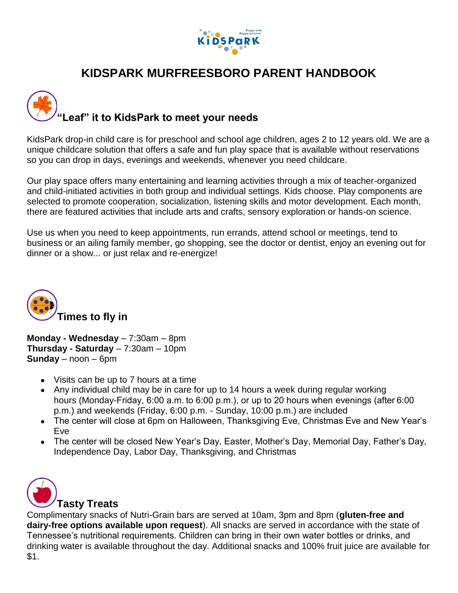

# **KIDSPARK MURFREESBORO PARENT HANDBOOK**



KidsPark drop-in child care is for preschool and school age children, ages 2 to 12 years old. We are a unique childcare solution that offers a safe and fun play space that is available without reservations so you can drop in days, evenings and weekends, whenever you need childcare.

Our play space offers many entertaining and learning activities through a mix of teacher-organized and child-initiated activities in both group and individual settings. Kids choose. Play components are selected to promote cooperation, socialization, listening skills and motor development. Each month, there are featured activities that include arts and crafts, sensory exploration or hands-on science.

Use us when you need to keep appointments, run errands, attend school or meetings, tend to business or an ailing family member, go shopping, see the doctor or dentist, enjoy an evening out for dinner or a show... or just relax and re-energize!



**Monday - Wednesday** – 7:30am – 8pm **Thursday - Saturday** – 7:30am – 10pm **Sunday** – noon – 6pm

- Visits can be up to 7 hours at a time
- Any individual child may be in care for up to 14 hours a week during regular working hours (Monday-Friday, 6:00 a.m. to 6:00 p.m.), or up to 20 hours when evenings (after 6:00 p.m.) and weekends (Friday, 6:00 p.m. - Sunday, 10:00 p.m.) are included
- The center will close at 6pm on Halloween, Thanksgiving Eve, Christmas Eve and New Year's Eve
- The center will be closed New Year's Day, Easter, Mother's Day, Memorial Day, Father's Day, Independence Day, Labor Day, Thanksgiving, and Christmas



## **Tasty Treats**

Complimentary snacks of Nutri-Grain bars are served at 10am, 3pm and 8pm (**gluten-free and dairy-free options available upon request**). All snacks are served in accordance with the state of Tennessee's nutritional requirements. Children can bring in their own water bottles or drinks, and drinking water is available throughout the day. Additional snacks and 100% fruit juice are available for \$1.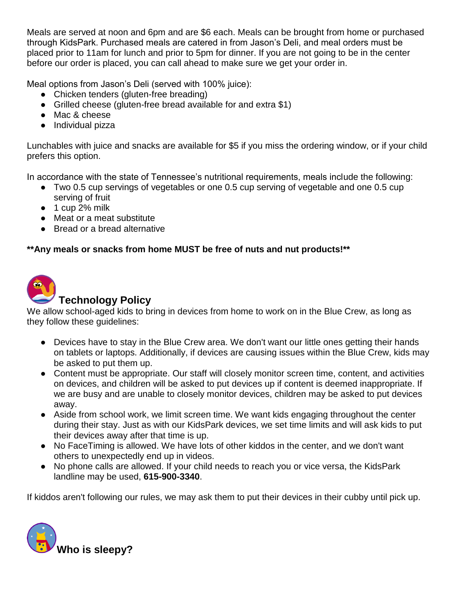Meals are served at noon and 6pm and are \$6 each. Meals can be brought from home or purchased through KidsPark. Purchased meals are catered in from Jason's Deli, and meal orders must be placed prior to 11am for lunch and prior to 5pm for dinner. If you are not going to be in the center before our order is placed, you can call ahead to make sure we get your order in.

Meal options from Jason's Deli (served with 100% juice):

- Chicken tenders (gluten-free breading)
- Grilled cheese (gluten-free bread available for and extra \$1)
- Mac & cheese
- Individual pizza

Lunchables with juice and snacks are available for \$5 if you miss the ordering window, or if your child prefers this option.

In accordance with the state of Tennessee's nutritional requirements, meals include the following:

- Two 0.5 cup servings of vegetables or one 0.5 cup serving of vegetable and one 0.5 cup serving of fruit
- $\bullet$  1 cup 2% milk
- Meat or a meat substitute
- Bread or a bread alternative

### **\*\*Any meals or snacks from home MUST be free of nuts and nut products!\*\***



# **Technology Policy**

We allow school-aged kids to bring in devices from home to work on in the Blue Crew, as long as they follow these guidelines:

- Devices have to stay in the Blue Crew area. We don't want our little ones getting their hands on tablets or laptops. Additionally, if devices are causing issues within the Blue Crew, kids may be asked to put them up.
- Content must be appropriate. Our staff will closely monitor screen time, content, and activities on devices, and children will be asked to put devices up if content is deemed inappropriate. If we are busy and are unable to closely monitor devices, children may be asked to put devices away.
- Aside from school work, we limit screen time. We want kids engaging throughout the center during their stay. Just as with our KidsPark devices, we set time limits and will ask kids to put their devices away after that time is up.
- No FaceTiming is allowed. We have lots of other kiddos in the center, and we don't want others to unexpectedly end up in videos.
- No phone calls are allowed. If your child needs to reach you or vice versa, the KidsPark landline may be used, **615-900-3340**.

If kiddos aren't following our rules, we may ask them to put their devices in their cubby until pick up.

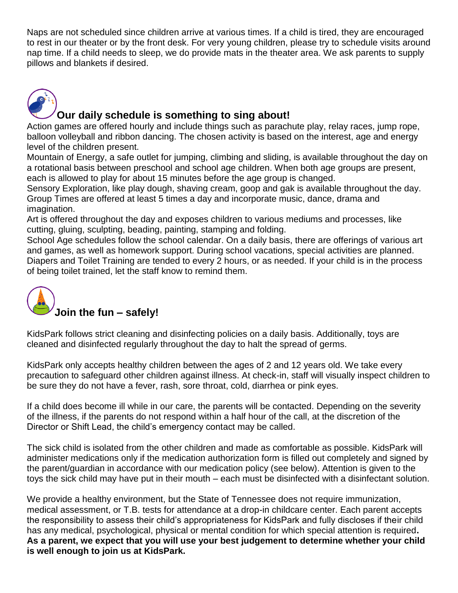Naps are not scheduled since children arrive at various times. If a child is tired, they are encouraged to rest in our theater or by the front desk. For very young children, please try to schedule visits around nap time. If a child needs to sleep, we do provide mats in the theater area. We ask parents to supply pillows and blankets if desired.



## **Our daily schedule is something to sing about!**

Action games are offered hourly and include things such as parachute play, relay races, jump rope, balloon volleyball and ribbon dancing. The chosen activity is based on the interest, age and energy level of the children present.

Mountain of Energy, a safe outlet for jumping, climbing and sliding, is available throughout the day on a rotational basis between preschool and school age children. When both age groups are present, each is allowed to play for about 15 minutes before the age group is changed.

Sensory Exploration, like play dough, shaving cream, goop and gak is available throughout the day. Group Times are offered at least 5 times a day and incorporate music, dance, drama and imagination.

Art is offered throughout the day and exposes children to various mediums and processes, like cutting, gluing, sculpting, beading, painting, stamping and folding.

School Age schedules follow the school calendar. On a daily basis, there are offerings of various art and games, as well as homework support. During school vacations, special activities are planned. Diapers and Toilet Training are tended to every 2 hours, or as needed. If your child is in the process of being toilet trained, let the staff know to remind them.



## **Join the fun – safely!**

KidsPark follows strict cleaning and disinfecting policies on a daily basis. Additionally, toys are cleaned and disinfected regularly throughout the day to halt the spread of germs.

KidsPark only accepts healthy children between the ages of 2 and 12 years old. We take every precaution to safeguard other children against illness. At check-in, staff will visually inspect children to be sure they do not have a fever, rash, sore throat, cold, diarrhea or pink eyes.

If a child does become ill while in our care, the parents will be contacted. Depending on the severity of the illness, if the parents do not respond within a half hour of the call, at the discretion of the Director or Shift Lead, the child's emergency contact may be called.

The sick child is isolated from the other children and made as comfortable as possible. KidsPark will administer medications only if the medication authorization form is filled out completely and signed by the parent/guardian in accordance with our medication policy (see below). Attention is given to the toys the sick child may have put in their mouth – each must be disinfected with a disinfectant solution.

We provide a healthy environment, but the State of Tennessee does not require immunization, medical assessment, or T.B. tests for attendance at a drop-in childcare center. Each parent accepts the responsibility to assess their child's appropriateness for KidsPark and fully discloses if their child has any medical, psychological, physical or mental condition for which special attention is required**. As a parent, we expect that you will use your best judgement to determine whether your child is well enough to join us at KidsPark.**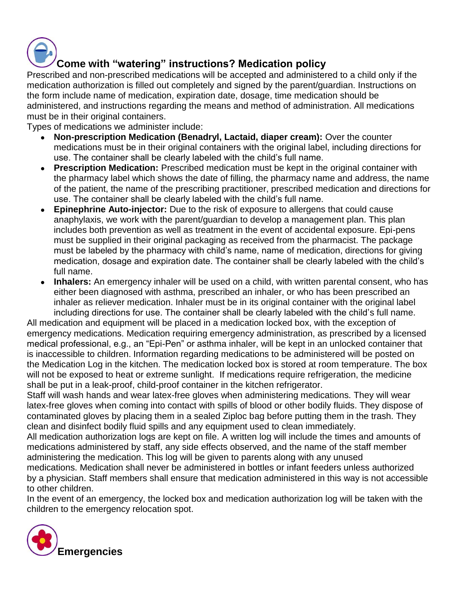

# **Come with "watering" instructions? Medication policy**

Prescribed and non-prescribed medications will be accepted and administered to a child only if the medication authorization is filled out completely and signed by the parent/guardian. Instructions on the form include name of medication, expiration date, dosage, time medication should be administered, and instructions regarding the means and method of administration. All medications must be in their original containers.

Types of medications we administer include:

- **Non-prescription Medication (Benadryl, Lactaid, diaper cream):** Over the counter medications must be in their original containers with the original label, including directions for use. The container shall be clearly labeled with the child's full name.
- **Prescription Medication:** Prescribed medication must be kept in the original container with the pharmacy label which shows the date of filling, the pharmacy name and address, the name of the patient, the name of the prescribing practitioner, prescribed medication and directions for use. The container shall be clearly labeled with the child's full name.
- **Epinephrine Auto-injector:** Due to the risk of exposure to allergens that could cause anaphylaxis, we work with the parent/guardian to develop a management plan. This plan includes both prevention as well as treatment in the event of accidental exposure. Epi-pens must be supplied in their original packaging as received from the pharmacist. The package must be labeled by the pharmacy with child's name, name of medication, directions for giving medication, dosage and expiration date. The container shall be clearly labeled with the child's full name.
- Inhalers: An emergency inhaler will be used on a child, with written parental consent, who has either been diagnosed with asthma, prescribed an inhaler, or who has been prescribed an inhaler as reliever medication. Inhaler must be in its original container with the original label including directions for use. The container shall be clearly labeled with the child's full name.

All medication and equipment will be placed in a medication locked box, with the exception of emergency medications. Medication requiring emergency administration, as prescribed by a licensed medical professional, e.g., an "Epi-Pen" or asthma inhaler, will be kept in an unlocked container that is inaccessible to children. Information regarding medications to be administered will be posted on the Medication Log in the kitchen. The medication locked box is stored at room temperature. The box will not be exposed to heat or extreme sunlight. If medications require refrigeration, the medicine shall be put in a leak-proof, child-proof container in the kitchen refrigerator.

Staff will wash hands and wear latex-free gloves when administering medications. They will wear latex-free gloves when coming into contact with spills of blood or other bodily fluids. They dispose of contaminated gloves by placing them in a sealed Ziploc bag before putting them in the trash. They clean and disinfect bodily fluid spills and any equipment used to clean immediately.

All medication authorization logs are kept on file. A written log will include the times and amounts of medications administered by staff, any side effects observed, and the name of the staff member administering the medication. This log will be given to parents along with any unused medications. Medication shall never be administered in bottles or infant feeders unless authorized by a physician. Staff members shall ensure that medication administered in this way is not accessible to other children.

In the event of an emergency, the locked box and medication authorization log will be taken with the children to the emergency relocation spot.

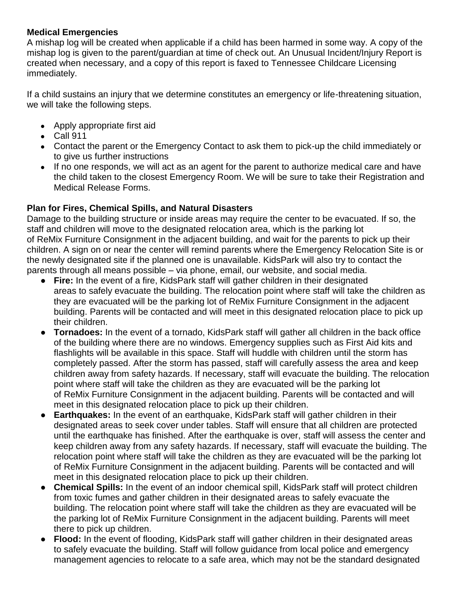#### **Medical Emergencies**

A mishap log will be created when applicable if a child has been harmed in some way. A copy of the mishap log is given to the parent/guardian at time of check out. An Unusual Incident/Injury Report is created when necessary, and a copy of this report is faxed to Tennessee Childcare Licensing immediately.

If a child sustains an injury that we determine constitutes an emergency or life-threatening situation, we will take the following steps.

- Apply appropriate first aid
- Call 911
- Contact the parent or the Emergency Contact to ask them to pick-up the child immediately or to give us further instructions
- If no one responds, we will act as an agent for the parent to authorize medical care and have the child taken to the closest Emergency Room. We will be sure to take their Registration and Medical Release Forms.

### **Plan for Fires, Chemical Spills, and Natural Disasters**

Damage to the building structure or inside areas may require the center to be evacuated. If so, the staff and children will move to the designated relocation area, which is the parking lot of ReMix Furniture Consignment in the adjacent building, and wait for the parents to pick up their children. A sign on or near the center will remind parents where the Emergency Relocation Site is or the newly designated site if the planned one is unavailable. KidsPark will also try to contact the parents through all means possible – via phone, email, our website, and social media.

- **Fire:** In the event of a fire, KidsPark staff will gather children in their designated areas to safely evacuate the building. The relocation point where staff will take the children as they are evacuated will be the parking lot of ReMix Furniture Consignment in the adjacent building. Parents will be contacted and will meet in this designated relocation place to pick up their children.
- **Tornadoes:** In the event of a tornado, KidsPark staff will gather all children in the back office of the building where there are no windows. Emergency supplies such as First Aid kits and flashlights will be available in this space. Staff will huddle with children until the storm has completely passed. After the storm has passed, staff will carefully assess the area and keep children away from safety hazards. If necessary, staff will evacuate the building. The relocation point where staff will take the children as they are evacuated will be the parking lot of ReMix Furniture Consignment in the adjacent building. Parents will be contacted and will meet in this designated relocation place to pick up their children.
- **Earthquakes:** In the event of an earthquake, KidsPark staff will gather children in their designated areas to seek cover under tables. Staff will ensure that all children are protected until the earthquake has finished. After the earthquake is over, staff will assess the center and keep children away from any safety hazards. If necessary, staff will evacuate the building. The relocation point where staff will take the children as they are evacuated will be the parking lot of ReMix Furniture Consignment in the adjacent building. Parents will be contacted and will meet in this designated relocation place to pick up their children.
- **Chemical Spills:** In the event of an indoor chemical spill, KidsPark staff will protect children from toxic fumes and gather children in their designated areas to safely evacuate the building. The relocation point where staff will take the children as they are evacuated will be the parking lot of ReMix Furniture Consignment in the adjacent building. Parents will meet there to pick up children.
- **Flood:** In the event of flooding, KidsPark staff will gather children in their designated areas to safely evacuate the building. Staff will follow guidance from local police and emergency management agencies to relocate to a safe area, which may not be the standard designated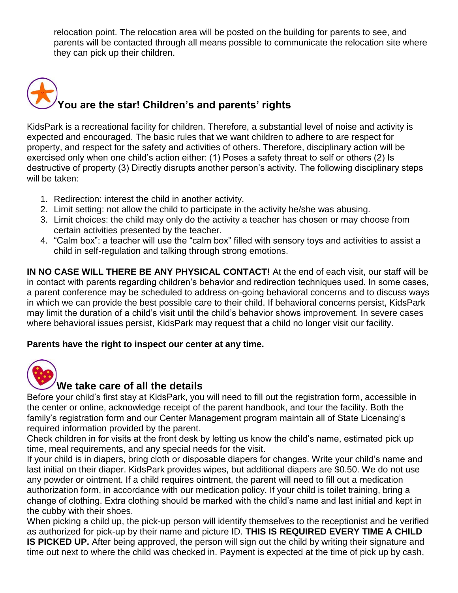relocation point. The relocation area will be posted on the building for parents to see, and parents will be contacted through all means possible to communicate the relocation site where they can pick up their children.

# **You are the star! Children's and parents' rights**

KidsPark is a recreational facility for children. Therefore, a substantial level of noise and activity is expected and encouraged. The basic rules that we want children to adhere to are respect for property, and respect for the safety and activities of others. Therefore, disciplinary action will be exercised only when one child's action either: (1) Poses a safety threat to self or others (2) Is destructive of property (3) Directly disrupts another person's activity. The following disciplinary steps will be taken:

- 1. Redirection: interest the child in another activity.
- 2. Limit setting: not allow the child to participate in the activity he/she was abusing.
- 3. Limit choices: the child may only do the activity a teacher has chosen or may choose from certain activities presented by the teacher.
- 4. "Calm box": a teacher will use the "calm box" filled with sensory toys and activities to assist a child in self-regulation and talking through strong emotions.

**IN NO CASE WILL THERE BE ANY PHYSICAL CONTACT!** At the end of each visit, our staff will be in contact with parents regarding children's behavior and redirection techniques used. In some cases, a parent conference may be scheduled to address on-going behavioral concerns and to discuss ways in which we can provide the best possible care to their child. If behavioral concerns persist, KidsPark may limit the duration of a child's visit until the child's behavior shows improvement. In severe cases where behavioral issues persist, KidsPark may request that a child no longer visit our facility.

#### **Parents have the right to inspect our center at any time.**



## **We take care of all the details**

Before your child's first stay at KidsPark, you will need to fill out the registration form, accessible in the center or online, acknowledge receipt of the parent handbook, and tour the facility. Both the family's registration form and our Center Management program maintain all of State Licensing's required information provided by the parent.

Check children in for visits at the front desk by letting us know the child's name, estimated pick up time, meal requirements, and any special needs for the visit.

If your child is in diapers, bring cloth or disposable diapers for changes. Write your child's name and last initial on their diaper. KidsPark provides wipes, but additional diapers are \$0.50. We do not use any powder or ointment. If a child requires ointment, the parent will need to fill out a medication authorization form, in accordance with our medication policy. If your child is toilet training, bring a change of clothing. Extra clothing should be marked with the child's name and last initial and kept in the cubby with their shoes.

When picking a child up, the pick-up person will identify themselves to the receptionist and be verified as authorized for pick-up by their name and picture ID. **THIS IS REQUIRED EVERY TIME A CHILD IS PICKED UP.** After being approved, the person will sign out the child by writing their signature and time out next to where the child was checked in. Payment is expected at the time of pick up by cash,